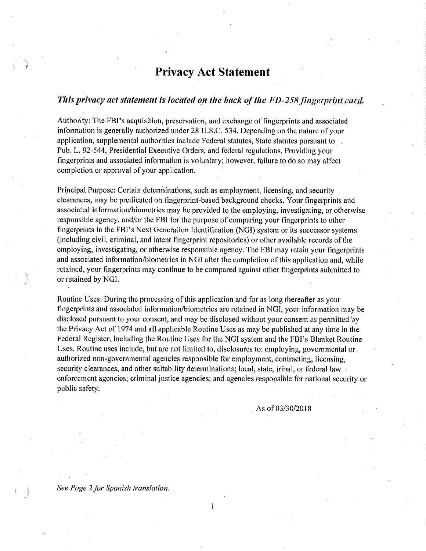## Privacy Act Statement

### This privacy act statement is located on the back of the  $FD-258$  fingerprint card.

Authority: The FBI'S acquisition, preservation, and exchange of fingerprints and associated information is generally authorized under 28 U.S.C. 534. Depending on the nature of your application, supplemental authorities include Federal statutes, State statutes pursuant to . Pub. L. 92-544, Presidential Executive Orders, and federal regulations. Providing your fingerprints and associated information is voluntary; however, failure to do so may affect completion or approval of your application.

Principal Purpose: Certain determinations, such as employment, licensing, and security clearances, may be predicated on fingerprint-based background checks. Your fingerprints and associated information/biometrics may be provided to the employing, investigating, or otherwise responsible agency, and/or the FBI for the purpose of comparing your fingerprints to other fingerprints in the FBI'S Next Generation Identification (NGI) system or its successor systems (including civil, criminal, and latent fingerprint repositories) or other available records of the employing, investigating, or otherwise responsible agency. The FBI may retain your fingerprints and associated information/biometrics in NGI after the completion of this application and, while retained, your fingerprints may continue to be compared against other fingerprints submitted to or retained by NGI.

Routine Uses: During the processing of this application and for as long thereafter as your fingerprints and associated information/biometrics are retained in NGI, your information may be disclosed pursuant to your consent, and may be disclosed without your consent as permitted by the Privacy Act of 1974 and all applicable Routine Uses as may be published at any time in the Federal Register, including the Routine Uses for the NGI system and the FBI's Blanket Routine Uses. Routine uses include, but are not limited to, disclosures to: employing, governmental or authorized non-governmental agencies responsible for employment, contracting, licensing, security clearances, and other suitability determinations; local, state, tribal, or federal law. enforcement agencies; criminal justice agencies; and agencies responsible for national security or public safety.

 $\mathbf{1}$ 

As of 03/30/2018

See Page 2 for Spanish translation,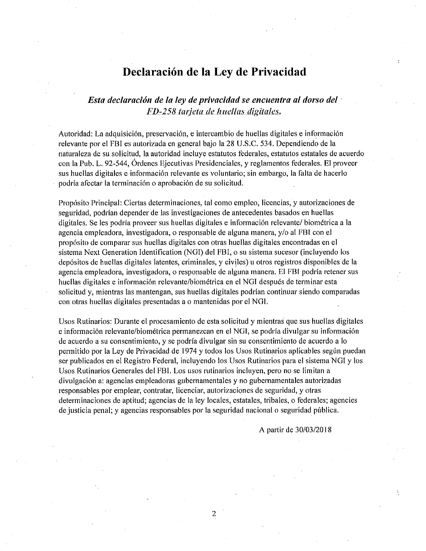# Declaracion de la Ley de Privacidad

## Esta declaración de la ley de privacidad se encuentra al dorso del  $\cdot$ FD-258 tarjeta de huellas digitales.

Autoridad: La adquisiclon, preservacion, e intercambio de huellas digitales e informacion relevante por el FBI es autorizada en general bajo la 28 U.S.C. 534. Dependiendo de la naturaleza de su solicitud, la autoridad incluye estatutos federales, estatutos estatales de acuerdo con la Pub. L. 92-544, Ordenes Ejecutivas Presidenciales, y reglamentos federates. El proveer sus huellas digitales e información relevante es voluntario; sin embargo, la falta de hacerlo podría afectar la terminación o aprobación de su solicitud.

Propósito Principal: Ciertas determinaciones, tal como empleo, licencias, y autorizaciones de seguridad, podrían depender de las investigaciones de antecedentes basados en huellas digitales. Se les podría proveer sus huellas digitales e información relevante/ biométrica a la agencia empleadora, investigadora, o responsable de alguna manera, y/o al FBI con el proposito de comparar sus huellas digitales con otras huellas digitales encontradas en el sistema Next Generation Identification (NGI) del FBI, o su sistema sucesor (incluyendo los depositos de huellas digitales latentes, criminales, y civiles) u otros registros disponibles de la agencia empleadora, investigadora, o responsable de alguna manera. El FBI podría retener sus huellas digitales e información relevante/biométrica en el NGI después de terminar esta solicitud y, mientras las mantengan, sus huellas digitales podrían continuar siendo comparadas con otras huellas digitales presentadas a o mantemdas por el NGI.

Usos Rutinarios: Durante el procesamiento de esta solicitud y mlentras que sus huellas digitales e informacion relevante/biom^trica permanezcan en el NGI, se podrfa divulgar su informacion de acuerdo a su consentlmiento, y se podrla divulgar sin su consentimiento de acuerdo a lo permitido por la Ley de Privacidad de 1974 y todos los Usos Rutinarios aplicables según puedan ser publicados en el Rcgistro Federal, incluyendo ios Usos Rutinarios para el sistema NG[ y los Usos Rutinarios Generales del FBI. Los usos rutinarios incluyen, pero no se limitan a divutgacion a: agendas empleadoras gubernamentales y no gubernamentales autorizadas responsables par emplear, contratar, licenciar, autorizaciones de seguridad, y otras determinaciones de aptitud; agencias de la ley locales, estatales, tribales, o federales; agencies de justicia penal; y agencias responsables por la seguridad nacional o seguridad pública.

 $\overline{2}$ 

A partir de 30/03/2018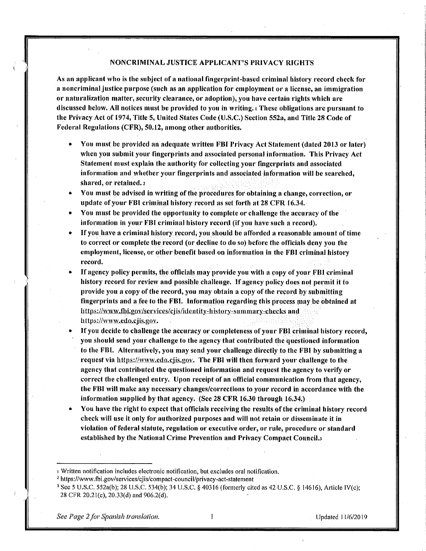### NONCRIMINAL JUSTICE APPLICANT'S PRIVACY RIGHTS

As an applicant who is the subject of a national fingerprint-based criminal history record check for a noncriminal justice purpose (such as an application for employment or a license, an immigration or naturalization matter, security clearance, or adoption), you have certain rights which are discussed below. All notices must be provided to you in writing, a These obligations are pursuant to the Privacy Act of 1974, Title 5, United States Code (U.S.C.) Section 552a, and Title 28 Code of Federal Regulations (CFR), 50.12, among other authorities.

- You must be provided an adequate written FBI Privacy Act Statement (dated 2013 or later) when you submit your fingerprints and associated personal information. This Privacy Act Statement must explain the authority for collecting your fingerprints and associated information and whether your fingerprints and associated information will be searched, shared, or retained, 2
- You must be advised in writing of the procedures for obtaining a change, correction, or update of your FBI criminal history record as set forth at 28 CFR 16.34.
- You must be provided the opportunity to complete or challenge the accuracy of the information in your FBI criminal history record (if you have such a record).
- If you have a criminal history record, you should be afforded a reasonable amount of time to correct or complete the record (or decline to do so) before the officials deny you the employment, license, or other benefit based on information in the FBI criminal history record.
- If agency policy permits, the officials may provide you with a copy of your FBI criminal history record for review and possible challenge. If agency policy does not permit it to provide you a copy of the record, you may obtain a copy of the record by submitting fingerprints and a fee to the FBI. Information regarding this process may be obtained at https://www.fbi.gov/services/cjis/identity-history-summary-checks and https://www.edo.cjis.gov.
- If you decide to challenge the accuracy or completeness of your FBI criminal history record, you should send your challenge to the agency that contributed the questioned information to the FBI. Alternatively, you may send your challenge directly to the FBI by submitting a request via https://www.edo.cjis.gov. The FBI will then forward your challenge to the agency that contributed the questioned information and request the agency to verify or correct the challenged entry. Upon receipt of an official communication from that agency, the FBI will make any necessary changes/corrections to your record in accordance with the information supplied by that agency. (See 28 CFR 16.30 through 16.34.)
- You have the right to expect that officials receiving the results of the criminal history record check will use it only for authorized purposes and will not retain or disseminate it in violation of federal statute, regulation or executive order, or rule, procedure or standard established by the National Crime Prevention and Privacy Compact Council.

 $\mathbf{I}% _{0}\left| \mathbf{I}_{1}\right|$ 

I Written notification includes electronic notification, but excludes oral notification.

<sup>&</sup>lt;sup>2</sup> https://www.fbi.gov/services/cjis/compact-council/privacy-act-statement

<sup>&</sup>lt;sup>3</sup> See 5 U.S.C. 552a(b); 28 U.S.C. 534(b); 34 U.S.C. § 40316 (formerly cited as 42 U.S.C. § 14616), Article IV(c); 28 CFR 20.21(c), 20.33(d) and 906.2(d).

See Page 2 for Spanish translation.